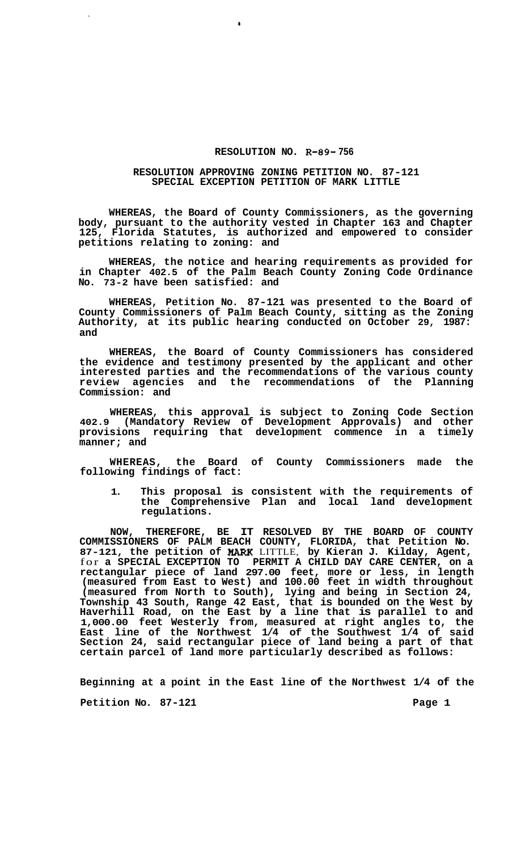## **RESOLUTION NO. R-89- 756**

## **RESOLUTION APPROVING ZONING PETITION NO. 87-121 SPECIAL EXCEPTION PETITION OF MARK LITTLE**

 $\ddot{\bullet}$ 

**WHEREAS, the Board of County Commissioners, as the governing body, pursuant to the authority vested in Chapter 163 and Chapter 125, Florida Statutes, is authorized and empowered to consider petitions relating to zoning: and** 

**WHEREAS, the notice and hearing requirements as provided for in Chapter 402.5 of the Palm Beach County Zoning Code Ordinance No. 73-2 have been satisfied: and** 

**WHEREAS, Petition No. 87-121 was presented to the Board of County Commissioners of Palm Beach County, sitting as the Zoning Authority, at its public hearing conducted on October 29, 1987: and** 

**WHEREAS, the Board of County Commissioners has considered the evidence and testimony presented by the applicant and other interested parties and the recommendations of the various county review agencies and the recommendations of the Planning Commission: and** 

**WHEREAS, this approval is subject to Zoning Code Section 402.9 (Mandatory Review of Development Approvals) and other provisions requiring that development commence in a timely manner; and** 

**WHEREAS, the Board of County Commissioners made the following findings of fact:** 

**1. This proposal is consistent with the requirements of the Comprehensive Plan and local land development regulations.** 

**NOW, THEREFORE, BE IT RESOLVED BY THE BOARD OF COUNTY COMMISSIONERS OF PALM BEACH COUNTY, FLORIDA, that Petition No.**  87-121, the petition of MARK LITTLE, by Kieran J. Kilday, Agent, for **a SPECIAL EXCEPTION TO PERMIT A CHILD DAY CARE CENTER, on a rectangular piece of land 297.00 feet, more or less, in length (measured from East to West) and 100.00 feet in width throughout (measured from North to South), lying and being in Section 24, Township 43 South, Range 42 East, that is bounded on the West by Haverhill Road, on the East by a line that is parallel to and 1,000.00 feet Westerly from, measured at right angles to, the East line of the Northwest 1/4 of the Southwest 1/4 of said Section 24, said rectangular piece of land being a part of that certain parcel of land more particularly described as follows:** 

**Beginning at a point in the East line of the Northwest 1/4 of the** 

Petition No. 87-121 **Page 1 Page 1**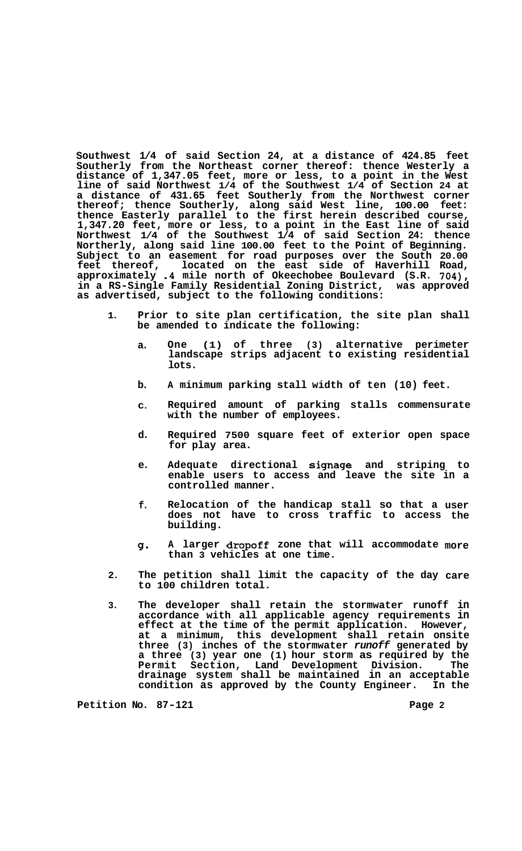**Southwest 1/4 of said Section 24, at a distance of 424.85 feet Southerly from the Northeast corner thereof: thence Westerly a distance of 1,347.05 feet, more or less, to a point in the West line of said Northwest 1/4 of the Southwest 1/4 of Section 24 at a distance of 431.65 feet Southerly from the Northwest corner thereof; thence Southerly, along said West line, 100.00 feet: thence Easterly parallel to the first herein described course, 1,347.20 feet, more or less, to a point in the East line of said Northwest 1/4 of the Southwest 1/4 of said Section 24: thence Northerly, along said line 100.00 feet to the Point of Beginning. Subject to an easement for road purposes over the South 20.00 feet thereof, located on the east side of Haverhill Road, approximately .4 mile north of Okeechobee Boulevard (S.R. 704),**  in a RS-Single Family Residential Zoning District, **as advertised, subject to the following conditions:** 

- **1. Prior to site plan certification, the site plan shall be amended to indicate the following:** 
	- **a. One (1) of three (3) alternative perimeter landscape strips adjacent to existing residential lots.**
	- **b. A minimum parking stall width of ten (10) feet.**
	- **C. Required amount of parking stalls commensurate with the number of employees.**
	- **d. Required 7500 square feet of exterior open space for play area.**
	- **e. Adequate directional signage and striping to enable users to access and leave the site in a controlled manner.**
	- **f. Relocation of the handicap stall so that a does not have to cross traffic to access building. user the**
	- **g\* A larger dropoff zone that will accommodate more than 3 vehicles at one time.**
- **2. The petition shall limit the capacity of the day care to 100 children total.**
- **3. The developer shall retain the stormwater runoff in accordance with all applicable agency requirements in effect at the time of the permit application. However, at a minimum, this development shall retain onsite three (3) inches of the stormwater** *runoff* **generated by a three (3) year one (1) hour storm as required by the Permit Section, Land Development Division. The drainage system shall be maintained in an acceptable condition as approved by the County Engineer. In the**

**Petition No. 87-121 Page 2**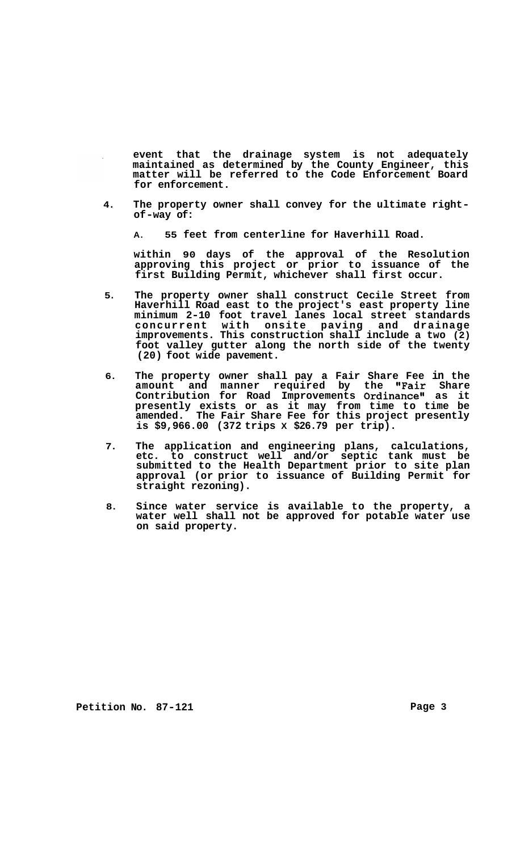**event that the drainage system is not adequately maintained as determined by the County Engineer, this matter will be referred to the Code Enforcement Board for enforcement.** 

- **4. The property owner shall convey for the ultimate right- of -way of:** 
	- **A. 55 feet from centerline for Haverhill Road.**

**within 90 days of the approval of the Resolution approving this project or prior to issuance of the first Building Permit, whichever shall first occur.** 

- **5. The property owner shall construct Cecile Street from Haverhill Road east to the project's east property line minimum 2-10 foot travel lanes local street standards concurrent with onsite paving and drainage improvements. This construction shall include a two (2) foot valley gutter along the north side of the twenty (20) foot wide pavement.**
- **6. The property owner shall pay a Fair Share Fee in the amount and manner required by the "Fair Share Contribution for Road Improvements Ordinancell as it presently exists or as it may from time to time be amended. The Fair Share Fee for this project presently is \$9,966.00 (372 trips X \$26.79 per trip).**
- **7. The application and engineering plans, calculations, etc. to construct well and/or septic tank must be submitted to the Health Department prior to site plan approval (or prior to issuance of Building Permit for straight rezoning).**
- **8. Since water service is available to the property, a water well shall not be approved for potable water use on said property.**

Petition No. 87-121 **Page 3 Page 3**